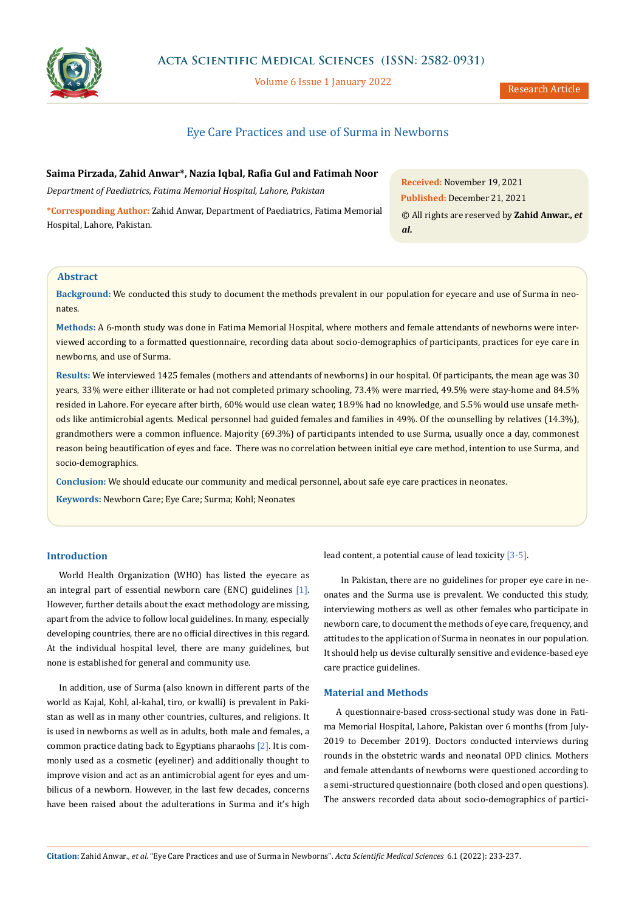

**Acta Scientific Medical Sciences (ISSN: 2582-0931)**

Volume 6 Issue 1 January 2022

# Eye Care Practices and use of Surma in Newborns

**Saima Pirzada, Zahid Anwar\*, Nazia Iqbal, Rafia Gul and Fatimah Noor** *Department of Paediatrics, Fatima Memorial Hospital, Lahore, Pakistan* **\*Corresponding Author:** Zahid Anwar, Department of Paediatrics, Fatima Memorial Hospital, Lahore, Pakistan.

**Received:** November 19, 2021 **Published:** December 21, 2021 © All rights are reserved by **Zahid Anwar.,** *et al***.**

# **Abstract**

**Background:** We conducted this study to document the methods prevalent in our population for eyecare and use of Surma in neonates.

**Methods:** A 6-month study was done in Fatima Memorial Hospital, where mothers and female attendants of newborns were interviewed according to a formatted questionnaire, recording data about socio-demographics of participants, practices for eye care in newborns, and use of Surma.

**Results:** We interviewed 1425 females (mothers and attendants of newborns) in our hospital. Of participants, the mean age was 30 years, 33% were either illiterate or had not completed primary schooling, 73.4% were married, 49.5% were stay-home and 84.5% resided in Lahore. For eyecare after birth, 60% would use clean water, 18.9% had no knowledge, and 5.5% would use unsafe methods like antimicrobial agents. Medical personnel had guided females and families in 49%. Of the counselling by relatives (14.3%), grandmothers were a common influence. Majority (69.3%) of participants intended to use Surma, usually once a day, commonest reason being beautification of eyes and face. There was no correlation between initial eye care method, intention to use Surma, and socio-demographics.

**Conclusion:** We should educate our community and medical personnel, about safe eye care practices in neonates.

**Keywords:** Newborn Care; Eye Care; Surma; Kohl; Neonates

# **Introduction**

World Health Organization (WHO) has listed the eyecare as an integral part of essential newborn care (ENC) guidelines [1]. However, further details about the exact methodology are missing, apart from the advice to follow local guidelines. In many, especially developing countries, there are no official directives in this regard. At the individual hospital level, there are many guidelines, but none is established for general and community use.

In addition, use of Surma (also known in different parts of the world as Kajal, Kohl, al-kahal, tiro, or kwalli) is prevalent in Pakistan as well as in many other countries, cultures, and religions. It is used in newborns as well as in adults, both male and females, a common practice dating back to Egyptians pharaohs [2]. It is commonly used as a cosmetic (eyeliner) and additionally thought to improve vision and act as an antimicrobial agent for eyes and umbilicus of a newborn. However, in the last few decades, concerns have been raised about the adulterations in Surma and it's high

lead content, a potential cause of lead toxicity [3-5].

 In Pakistan, there are no guidelines for proper eye care in neonates and the Surma use is prevalent. We conducted this study, interviewing mothers as well as other females who participate in newborn care, to document the methods of eye care, frequency, and attitudes to the application of Surma in neonates in our population. It should help us devise culturally sensitive and evidence-based eye care practice guidelines.

#### **Material and Methods**

A questionnaire-based cross-sectional study was done in Fatima Memorial Hospital, Lahore, Pakistan over 6 months (from July-2019 to December 2019). Doctors conducted interviews during rounds in the obstetric wards and neonatal OPD clinics. Mothers and female attendants of newborns were questioned according to a semi-structured questionnaire (both closed and open questions). The answers recorded data about socio-demographics of partici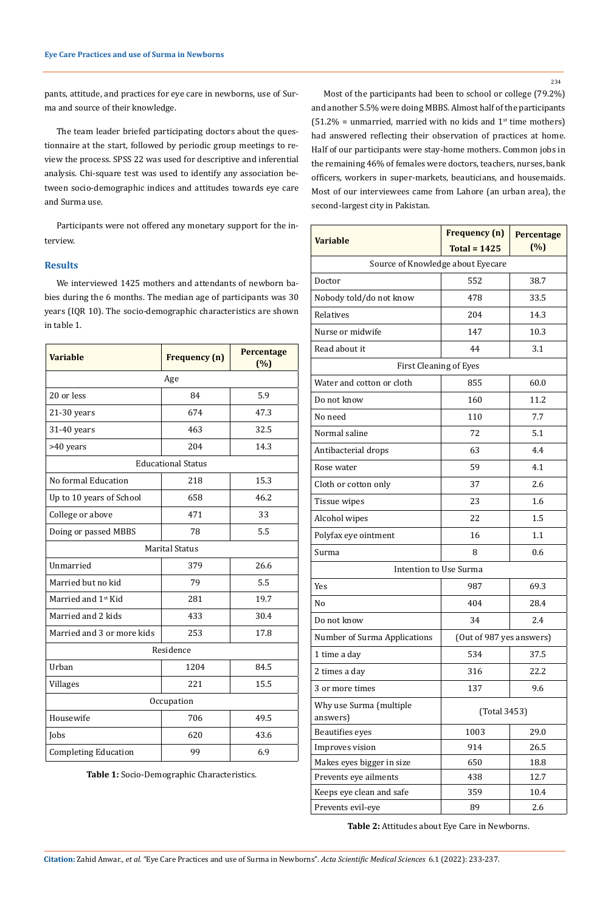pants, attitude, and practices for eye care in newborns, use of Surma and source of their knowledge.

The team leader briefed participating doctors about the questionnaire at the start, followed by periodic group meetings to review the process. SPSS 22 was used for descriptive and inferential analysis. Chi-square test was used to identify any association between socio-demographic indices and attitudes towards eye care and Surma use.

Participants were not offered any monetary support for the interview.

# **Results**

We interviewed 1425 mothers and attendants of newborn babies during the 6 months. The median age of participants was 30 years (IQR 10). The socio-demographic characteristics are shown in table 1.

| <b>Variable</b>                 | <b>Frequency</b> (n) | Percentage<br>(%) |  |  |  |  |  |  |
|---------------------------------|----------------------|-------------------|--|--|--|--|--|--|
| Age                             |                      |                   |  |  |  |  |  |  |
| 20 or less                      | 84                   | 5.9               |  |  |  |  |  |  |
| $21-30$ years                   | 674                  | 47.3              |  |  |  |  |  |  |
| 31-40 years                     | 463                  | 32.5              |  |  |  |  |  |  |
| >40 years                       | 204                  | 14.3              |  |  |  |  |  |  |
| <b>Educational Status</b>       |                      |                   |  |  |  |  |  |  |
| No formal Education             | 218                  | 15.3              |  |  |  |  |  |  |
| Up to 10 years of School        | 658                  | 46.2              |  |  |  |  |  |  |
| College or above                | 471                  | 33                |  |  |  |  |  |  |
| Doing or passed MBBS            | 78                   | 5.5               |  |  |  |  |  |  |
| <b>Marital Status</b>           |                      |                   |  |  |  |  |  |  |
| Unmarried                       | 379                  | 26.6              |  |  |  |  |  |  |
| Married but no kid              | 79                   | 5.5               |  |  |  |  |  |  |
| Married and 1 <sup>st</sup> Kid | 281                  | 19.7              |  |  |  |  |  |  |
| Married and 2 kids              | 433                  | 30.4              |  |  |  |  |  |  |
| Married and 3 or more kids      | 253                  | 17.8              |  |  |  |  |  |  |
| Residence                       |                      |                   |  |  |  |  |  |  |
| Urban                           | 1204                 | 84.5              |  |  |  |  |  |  |
| Villages                        | 221                  | 15.5              |  |  |  |  |  |  |
| Occupation                      |                      |                   |  |  |  |  |  |  |
| Housewife                       | 706                  | 49.5              |  |  |  |  |  |  |
| Jobs                            | 620                  | 43.6              |  |  |  |  |  |  |
| <b>Completing Education</b>     | 99                   | 6.9               |  |  |  |  |  |  |

**Table 1:** Socio-Demographic Characteristics.

Most of the participants had been to school or college (79.2%) and another 5.5% were doing MBBS. Almost half of the participants  $(51.2\%$  = unmarried, married with no kids and  $1<sup>st</sup>$  time mothers) had answered reflecting their observation of practices at home. Half of our participants were stay-home mothers. Common jobs in the remaining 46% of females were doctors, teachers, nurses, bank officers, workers in super-markets, beauticians, and housemaids. Most of our interviewees came from Lahore (an urban area), the second-largest city in Pakistan.

| <b>Variable</b>                                     | <b>Frequency</b> (n)     | Percentage<br>(%) |  |  |  |  |  |  |
|-----------------------------------------------------|--------------------------|-------------------|--|--|--|--|--|--|
| Total = $1425$<br>Source of Knowledge about Eyecare |                          |                   |  |  |  |  |  |  |
| Doctor                                              | 552                      | 38.7              |  |  |  |  |  |  |
| Nobody told/do not know                             | 478                      | 33.5              |  |  |  |  |  |  |
| Relatives                                           | 204                      | 14.3              |  |  |  |  |  |  |
|                                                     |                          |                   |  |  |  |  |  |  |
| Nurse or midwife                                    | 147                      | 10.3              |  |  |  |  |  |  |
| Read about it                                       | 44                       | 3.1               |  |  |  |  |  |  |
| <b>First Cleaning of Eyes</b>                       |                          |                   |  |  |  |  |  |  |
| Water and cotton or cloth                           | 855                      | 60.0              |  |  |  |  |  |  |
| Do not know                                         | 160                      | 11.2              |  |  |  |  |  |  |
| No need                                             | 110                      | 7.7               |  |  |  |  |  |  |
| Normal saline                                       | 72                       | 5.1               |  |  |  |  |  |  |
| Antibacterial drops                                 | 63                       | 4.4               |  |  |  |  |  |  |
| Rose water                                          | 59                       | 4.1               |  |  |  |  |  |  |
| Cloth or cotton only                                | 37                       | 2.6               |  |  |  |  |  |  |
| Tissue wipes                                        | 23                       | 1.6               |  |  |  |  |  |  |
| Alcohol wipes                                       | 22                       | 1.5               |  |  |  |  |  |  |
| Polyfax eye ointment                                | 16                       | 1.1               |  |  |  |  |  |  |
| Surma                                               | 8                        | 0.6               |  |  |  |  |  |  |
| Intention to Use Surma                              |                          |                   |  |  |  |  |  |  |
| Yes                                                 | 987                      | 69.3              |  |  |  |  |  |  |
| No                                                  | 404                      | 28.4              |  |  |  |  |  |  |
| Do not know                                         | 2.4<br>34                |                   |  |  |  |  |  |  |
| Number of Surma Applications                        | (Out of 987 yes answers) |                   |  |  |  |  |  |  |
| 1 time a day                                        | 534                      | 37.5              |  |  |  |  |  |  |
| 2 times a day                                       | 316                      | 22.2              |  |  |  |  |  |  |
| 3 or more times                                     | 137                      | 9.6               |  |  |  |  |  |  |
| Why use Surma (multiple<br>answers)                 | (Total 3453)             |                   |  |  |  |  |  |  |
| Beautifies eyes                                     | 1003                     | 29.0              |  |  |  |  |  |  |
| Improves vision                                     | 914                      | 26.5              |  |  |  |  |  |  |
| Makes eyes bigger in size                           | 650                      | 18.8              |  |  |  |  |  |  |
| Prevents eye ailments                               | 438                      | 12.7              |  |  |  |  |  |  |
| Keeps eye clean and safe                            | 359                      | 10.4              |  |  |  |  |  |  |
| Prevents evil-eye                                   | 89                       | 2.6               |  |  |  |  |  |  |

**Table 2:** Attitudes about Eye Care in Newborns.

234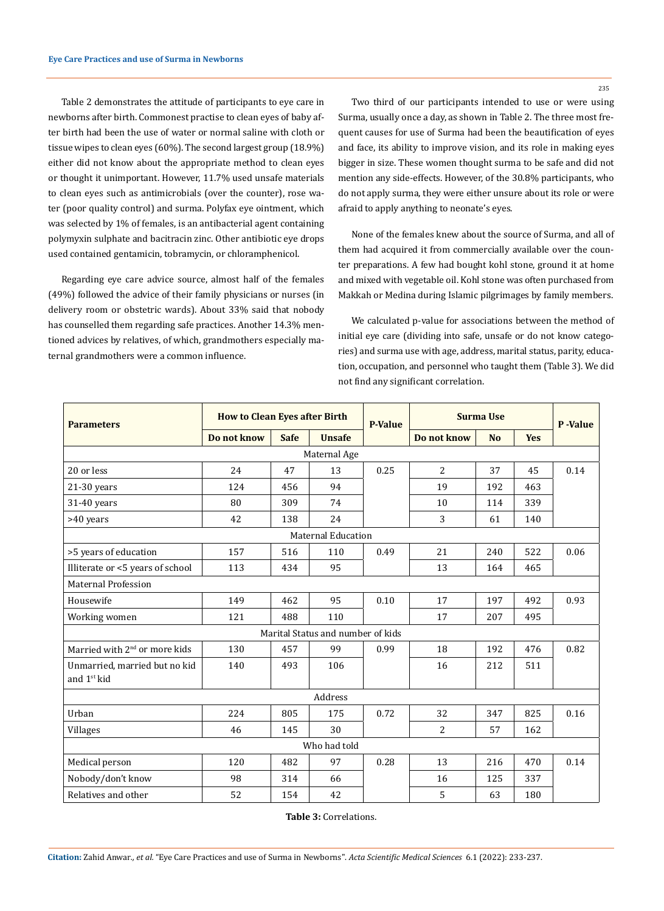Table 2 demonstrates the attitude of participants to eye care in newborns after birth. Commonest practise to clean eyes of baby after birth had been the use of water or normal saline with cloth or tissue wipes to clean eyes (60%). The second largest group (18.9%) either did not know about the appropriate method to clean eyes or thought it unimportant. However, 11.7% used unsafe materials to clean eyes such as antimicrobials (over the counter), rose water (poor quality control) and surma. Polyfax eye ointment, which was selected by 1% of females, is an antibacterial agent containing polymyxin sulphate and bacitracin zinc. Other antibiotic eye drops used contained gentamicin, tobramycin, or chloramphenicol.

Regarding eye care advice source, almost half of the females (49%) followed the advice of their family physicians or nurses (in delivery room or obstetric wards). About 33% said that nobody has counselled them regarding safe practices. Another 14.3% mentioned advices by relatives, of which, grandmothers especially maternal grandmothers were a common influence.

Two third of our participants intended to use or were using Surma, usually once a day, as shown in Table 2. The three most frequent causes for use of Surma had been the beautification of eyes and face, its ability to improve vision, and its role in making eyes bigger in size. These women thought surma to be safe and did not mention any side-effects. However, of the 30.8% participants, who do not apply surma, they were either unsure about its role or were afraid to apply anything to neonate's eyes.

None of the females knew about the source of Surma, and all of them had acquired it from commercially available over the counter preparations. A few had bought kohl stone, ground it at home and mixed with vegetable oil. Kohl stone was often purchased from Makkah or Medina during Islamic pilgrimages by family members.

We calculated p-value for associations between the method of initial eye care (dividing into safe, unsafe or do not know categories) and surma use with age, address, marital status, parity, education, occupation, and personnel who taught them (Table 3). We did not find any significant correlation.

| <b>Parameters</b>                         | <b>How to Clean Eyes after Birth</b> |             | <b>P-Value</b> | <b>Surma Use</b> |                | P-Value        |            |      |  |  |
|-------------------------------------------|--------------------------------------|-------------|----------------|------------------|----------------|----------------|------------|------|--|--|
|                                           | Do not know                          | <b>Safe</b> | <b>Unsafe</b>  |                  | Do not know    | N <sub>0</sub> | <b>Yes</b> |      |  |  |
| Maternal Age                              |                                      |             |                |                  |                |                |            |      |  |  |
| 20 or less                                | 24                                   | 47          | 13             | 0.25             | $\overline{2}$ | 37             | 45         | 0.14 |  |  |
| $21-30$ years                             | 124                                  | 456         | 94             |                  | 19             | 192            | 463        |      |  |  |
| 31-40 years                               | 80                                   | 309         | 74             |                  | 10             | 114            | 339        |      |  |  |
| >40 years                                 | 42                                   | 138         | 24             |                  | 3              | 61             | 140        |      |  |  |
| Maternal Education                        |                                      |             |                |                  |                |                |            |      |  |  |
| >5 years of education                     | 157                                  | 516         | 110            | 0.49             | 21             | 240            | 522        | 0.06 |  |  |
| Illiterate or <5 years of school          | 113                                  | 434         | 95             |                  | 13             | 164            | 465        |      |  |  |
| Maternal Profession                       |                                      |             |                |                  |                |                |            |      |  |  |
| Housewife                                 | 149                                  | 462         | 95             | 0.10             | 17             | 197            | 492        | 0.93 |  |  |
| Working women                             | 121                                  | 488         | 110            |                  | 17             | 207            | 495        |      |  |  |
| Marital Status and number of kids         |                                      |             |                |                  |                |                |            |      |  |  |
| Married with 2 <sup>nd</sup> or more kids | 130                                  | 457         | 99             | 0.99             | 18             | 192            | 476        | 0.82 |  |  |
| Unmarried, married but no kid             | 140                                  | 493         | 106            |                  | 16             | 212            | 511        |      |  |  |
| and 1 <sup>st</sup> kid                   |                                      |             |                |                  |                |                |            |      |  |  |
| Address                                   |                                      |             |                |                  |                |                |            |      |  |  |
| Urban                                     | 224                                  | 805         | 175            | 0.72             | 32             | 347            | 825        | 0.16 |  |  |
| Villages                                  | 46                                   | 145         | 30             |                  | $\overline{2}$ | 57             | 162        |      |  |  |
| Who had told                              |                                      |             |                |                  |                |                |            |      |  |  |
| Medical person                            | 120                                  | 482         | 97             | 0.28             | 13             | 216            | 470        | 0.14 |  |  |
| Nobody/don't know                         | 98                                   | 314         | 66             |                  | 16             | 125            | 337        |      |  |  |
| Relatives and other                       | 52                                   | 154         | 42             |                  | 5              | 63             | 180        |      |  |  |

**Table 3:** Correlations.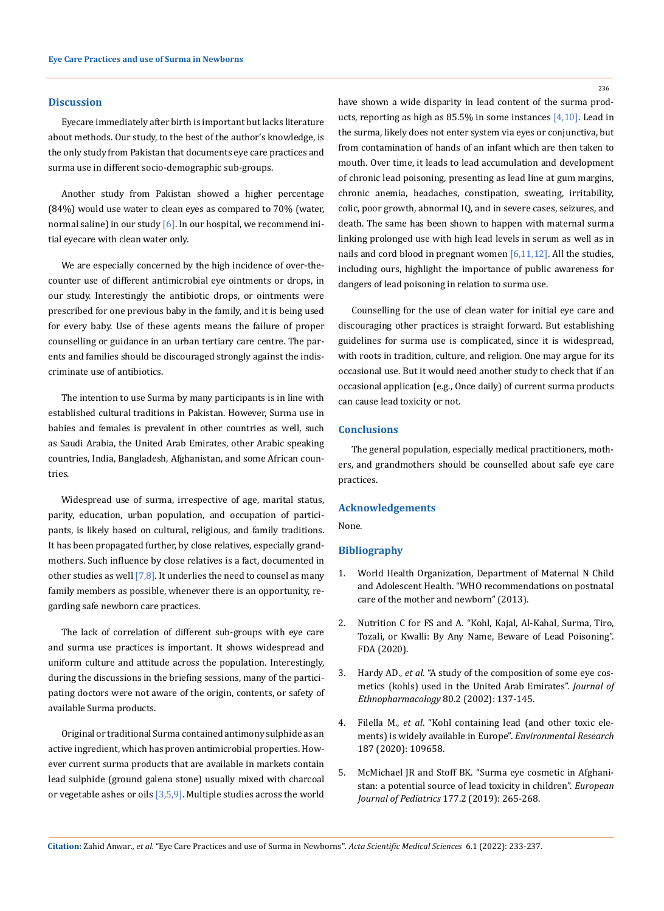#### **Discussion**

Eyecare immediately after birth is important but lacks literature about methods. Our study, to the best of the author's knowledge, is the only study from Pakistan that documents eye care practices and surma use in different socio-demographic sub-groups.

Another study from Pakistan showed a higher percentage (84%) would use water to clean eyes as compared to 70% (water, normal saline) in our study  $[6]$ . In our hospital, we recommend initial eyecare with clean water only.

We are especially concerned by the high incidence of over-thecounter use of different antimicrobial eye ointments or drops, in our study. Interestingly the antibiotic drops, or ointments were prescribed for one previous baby in the family, and it is being used for every baby. Use of these agents means the failure of proper counselling or guidance in an urban tertiary care centre. The parents and families should be discouraged strongly against the indiscriminate use of antibiotics.

The intention to use Surma by many participants is in line with established cultural traditions in Pakistan. However, Surma use in babies and females is prevalent in other countries as well, such as Saudi Arabia, the United Arab Emirates, other Arabic speaking countries, India, Bangladesh, Afghanistan, and some African countries.

Widespread use of surma, irrespective of age, marital status, parity, education, urban population, and occupation of participants, is likely based on cultural, religious, and family traditions. It has been propagated further, by close relatives, especially grandmothers. Such influence by close relatives is a fact, documented in other studies as well  $[7,8]$ . It underlies the need to counsel as many family members as possible, whenever there is an opportunity, regarding safe newborn care practices.

The lack of correlation of different sub-groups with eye care and surma use practices is important. It shows widespread and uniform culture and attitude across the population. Interestingly, during the discussions in the briefing sessions, many of the participating doctors were not aware of the origin, contents, or safety of available Surma products.

Original or traditional Surma contained antimony sulphide as an active ingredient, which has proven antimicrobial properties. However current surma products that are available in markets contain lead sulphide (ground galena stone) usually mixed with charcoal or vegetable ashes or oils  $[3,5,9]$ . Multiple studies across the world have shown a wide disparity in lead content of the surma products, reporting as high as 85.5% in some instances [4,10]. Lead in the surma, likely does not enter system via eyes or conjunctiva, but from contamination of hands of an infant which are then taken to mouth. Over time, it leads to lead accumulation and development of chronic lead poisoning, presenting as lead line at gum margins, chronic anemia, headaches, constipation, sweating, irritability, colic, poor growth, abnormal IQ, and in severe cases, seizures, and death. The same has been shown to happen with maternal surma linking prolonged use with high lead levels in serum as well as in nails and cord blood in pregnant women [6,11,12]. All the studies, including ours, highlight the importance of public awareness for dangers of lead poisoning in relation to surma use.

Counselling for the use of clean water for initial eye care and discouraging other practices is straight forward. But establishing guidelines for surma use is complicated, since it is widespread, with roots in tradition, culture, and religion. One may argue for its occasional use. But it would need another study to check that if an occasional application (e.g., Once daily) of current surma products can cause lead toxicity or not.

#### **Conclusions**

The general population, especially medical practitioners, mothers, and grandmothers should be counselled about safe eye care practices.

# **Acknowledgements**

None.

# **Bibliography**

- 1. [World Health Organization, Department of Maternal N Child](http://www.ncbi.nlm.nih.gov/books/NBK190086/)  [and Adolescent Health. "WHO recommendations on postnatal](http://www.ncbi.nlm.nih.gov/books/NBK190086/)  [care of the mother and newborn" \(2013\).](http://www.ncbi.nlm.nih.gov/books/NBK190086/)
- 2. [Nutrition C for FS and A. "Kohl, Kajal, Al-Kahal, Surma, Tiro,](https://www.fda.gov/cosmetics/cosmetic-products/kohl-kajal-al-kahal-surma-tiro-tozali-or-kwalli-any-name-beware-lead-poisoning)  [Tozali, or Kwalli: By Any Name, Beware of Lead Poisoning".](https://www.fda.gov/cosmetics/cosmetic-products/kohl-kajal-al-kahal-surma-tiro-tozali-or-kwalli-any-name-beware-lead-poisoning)  [FDA \(2020\).](https://www.fda.gov/cosmetics/cosmetic-products/kohl-kajal-al-kahal-surma-tiro-tozali-or-kwalli-any-name-beware-lead-poisoning)
- 3. Hardy AD., *et al*[. "A study of the composition of some eye cos](https://www.researchgate.net/publication/11363057_A_study_of_the_composition_of_some_eye_cosmetics_kohls_used_in_the_United_Arab_Emirates)[metics \(kohls\) used in the United Arab Emirates".](https://www.researchgate.net/publication/11363057_A_study_of_the_composition_of_some_eye_cosmetics_kohls_used_in_the_United_Arab_Emirates) *Journal of [Ethnopharmacology](https://www.researchgate.net/publication/11363057_A_study_of_the_composition_of_some_eye_cosmetics_kohls_used_in_the_United_Arab_Emirates)* 80.2 (2002): 137-145.
- 4. Filella M., *et al*[. "Kohl containing lead \(and other toxic ele](https://www.sciencedirect.com/science/article/pii/S001393512030551X)[ments\) is widely available in Europe".](https://www.sciencedirect.com/science/article/pii/S001393512030551X) *Environmental Research* [187 \(2020\): 109658.](https://www.sciencedirect.com/science/article/pii/S001393512030551X)
- 5. [McMichael JR and Stoff BK. "Surma eye cosmetic in Afghani](https://pubmed.ncbi.nlm.nih.gov/29224187/)[stan: a potential source of lead toxicity in children".](https://pubmed.ncbi.nlm.nih.gov/29224187/) *European [Journal of Pediatrics](https://pubmed.ncbi.nlm.nih.gov/29224187/)* 177.2 (2019): 265-268.

236